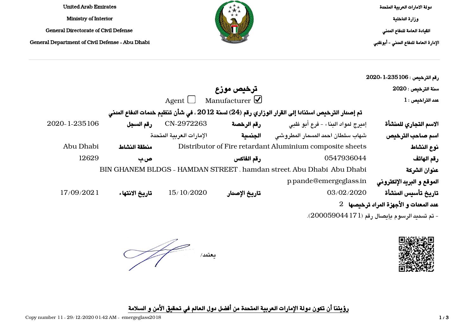دولة الامارات العربية المتحدة وزارة الداخلية القيادة العامة للدفاع المدني الإدارة العامة للدفاع المدني - أبوظبي



United Arab Emirates Ministry of Interior General Directorate of Civil Defense General Department of Civil Defense - Abu Dhabi

| رقم الترخيص : 2026-1-2020                   |                                                                                                   |                       |                          |                |               |
|---------------------------------------------|---------------------------------------------------------------------------------------------------|-----------------------|--------------------------|----------------|---------------|
| سنة الترخيص : 2020                          |                                                                                                   | ترخيص موزع            |                          |                |               |
| $1$ عدد التراخيص:                           |                                                                                                   | Manufacturer $\Omega$ | Agent $\Box$             |                |               |
|                                             | تم إصدار الترخيص استنادا إلى القرار الوزاري رقم (24) لسنة 2012 ، في شأن تنظيم خدمات الدفاع المدنى |                       |                          |                |               |
| الاسم التجاري للمنشأة                       | إميرج لمواد البناء - فرع أبو ظبي                                                                  | رقم الرخصة            | CN-2972263               | رقم السجل      | 2020-1-235106 |
| اسم صاحب الترخيص                            | شهاب سلطان احمد المسمار المطروشى                                                                  | الجنسية               | الإمارات العرببة المتحدة |                |               |
| نوع النشاط                                  | Distributor of Fire retardant Aluminium composite sheets                                          |                       |                          | منطقة النشاط   | Abu Dhabi     |
| رقم الهاتف                                  | 0547936044                                                                                        | رقم الفاكس            |                          | ص ب            | 12629         |
| عنوان الشركة                                | BIN GHANEM BLDGS - HAMDAN STREET, hamdan street, Abu Dhabi Abu Dhabi                              |                       |                          |                |               |
| الموقع و البريد الإلكتروني                  | p.pande@emergeglass.in                                                                            |                       |                          |                |               |
| تاريخ تأسيس المنشأة                         | 03/02/2020                                                                                        | تاريخ الإصدار         | 15/10/2020               | تاريخ الانتهاء | 17/09/2021    |
| عد المعدات و الأجهزة المراد ترخيصها 2       |                                                                                                   |                       |                          |                |               |
| - تم تسديد الرسوم بإيصال رقم (17190059044). |                                                                                                   |                       |                          |                |               |



يعتمد/

رؤيتنا أن تكون دولة الإمارات العربية المتحدة من أفضل دول العالم في تحقيق الأمن و السلامة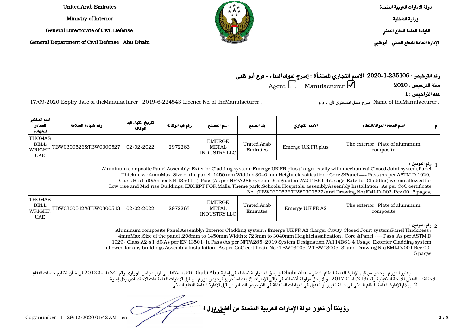دولة الامارات العربية المتحدة

وزارة الداخلية

القيادة العامة للدفاع المدني

الإدارة العامة للدفاع المدني - أبوظبي

Emirates Arab United Ministry of Interior

General Directorate of Civil Defense

General Department of Civil Defense - Abu Dhabi

رقم الترخيص : 2020-1-235106 الاسم التجاري للمنشأة : إميرج لمواد البناء - فرع أبو ظبي  $\rm_{Agent}$ سنة الترخيص : 2020  $\rm_{Mannifacturer}$   $\rm{M}$ 

 $1$ عدد التراخيص  $\mathbf{1}$ 

: Name of theManufacturer : 2019-6-224543 Licence No. of theManufacturer اميرج ميتل اندستري ش ذ م م : theManufacturer الميرج ميتل اندستري ش ذ م م : theManufacturer of theManufacturer : 2019-6-224543 Licence No. of theManu

| اسم المختبر<br>الصادر<br>للشهادة                     | رقم شهادة السلامة                                                                                                                                                                                                                                                                                                                                                                                                                                                                                                                                                                                                                                           | تاريخ انتهاء قيد<br>الوكالة | رقم قيد الوكالة | اسم المصنع                                           | يلد الصيثع              | الاسم التجاري      | اسم المعدة/المواد/النظام                      |  |
|------------------------------------------------------|-------------------------------------------------------------------------------------------------------------------------------------------------------------------------------------------------------------------------------------------------------------------------------------------------------------------------------------------------------------------------------------------------------------------------------------------------------------------------------------------------------------------------------------------------------------------------------------------------------------------------------------------------------------|-----------------------------|-----------------|------------------------------------------------------|-------------------------|--------------------|-----------------------------------------------|--|
| <b>THOMAS</b><br><b>BELL</b><br>WRIGHT<br><b>UAE</b> | TBW0300526&TBW0300527                                                                                                                                                                                                                                                                                                                                                                                                                                                                                                                                                                                                                                       | 02/02/2022                  | 2972263         | <b>EMERGE</b><br>METAL<br><b>INDUSTRY LLC</b>        | United Arab<br>Emirates | Emerge U.K FR plus | The exterior : Plate of aluminum<br>composite |  |
|                                                      | إرقم المونيل :<br>Aluminum composite Panel Assembly: Exterior Cladding system : Emerge UK FR plus (Larger cavity with mechanical Closed Joint system)Panel<br>Thickness: 4mmMax.Size of the panel: 1450 mm Width x 3040 mm Height classification: Core &Panel ---- Pass (As per ASTM D 1929),<br>Class B-s 1, d0(As per EN 13501-1), Pass (As per NFPA285 system Designation ?A214B61-4)Usage: Exterior Cladding system allowed for<br>Low-rise and Mid-rise Buildings, EXCEPT FOR Malls, Theme park , Schools, Hospitals, assemblyAssembly Installation : As per CoC certificate<br>No: (TBW0300526,TBW0300527) and Drawing No,(EMI-D-002-Rev 00, 5 pages) |                             |                 |                                                      |                         |                    |                                               |  |
| <b>THOMAS</b><br><b>BELL</b><br>WRIGHT<br><b>UAE</b> | FBW0300512&TBW0300513                                                                                                                                                                                                                                                                                                                                                                                                                                                                                                                                                                                                                                       | 02/02/2022                  | 2972263         | <b>EMERGE</b><br><b>METAL</b><br><b>INDUSTRY LLC</b> | United Arab<br>Emirates | Emerge U.K FRA2    | The exterior : Plate of aluminum<br>composite |  |
|                                                      | : إرقم الموديل $\,$ $_2$<br>Aluminum composite Panel Assembly: Exterior Cladding system : Emerge UK FRA2 (Larger Cavity Closed Joint system)Panel Thickness :<br>4mmMax .Size of the panel :208mm to 1450mm Width x 723mm to 3040mm Heightclassification : Core &Panel ---- Pass (As per ASTM D)<br>1929), Class A2-s 1, d0(As per EN 13501-1), Pass (As per NFPA285-2019 System Designation ?A114B61-4)Usage: Exterior Cladding system<br>allowed for any buildings Assembly Installation: As per CoC certificate No: TBW0300512.TBW0300513) and Drawing No.(EMI-D-001 Rev 00,<br>5 pages                                                                  |                             |                 |                                                      |                         |                    |                                               |  |

1 . يعتبر الموزع مرخص من قبل الإدارة العامة للدفاع المدني- Abu Dhabi و يحق له مزاولة نشاطه في إمارة Abu Dhabi فقط، استنادا إلى قرار مجلس الوزاري رقم (24) لسنة 2012 في شأن تنظيم خدمات الدفاع المدني للائحة التنفيذية رقم (213) لسنة 2017 ، و لا يحق مزاولة أنشطته في باقي الإمارات إلا بعد استخراج ترخيص موزع من قبل الإدارات العامة ذات الاختصاص بكل إمارة. 2 . إبلاغ الإدارة العامة للدفاع المدني في حالة تغيير أو تعديل في البيانات المتعلقة في الترخيص الصادر من قبل الإدارة العامة للدفاع المدني. ملاحظة:

<u>رؤيتنا أن تكون دولة الإمارات العربية المتحدة من أفضل بول العالم في تحكيم الم</u>عتمد العالم في تحكيم الأمن و السلا<br>الأمن و السلامة